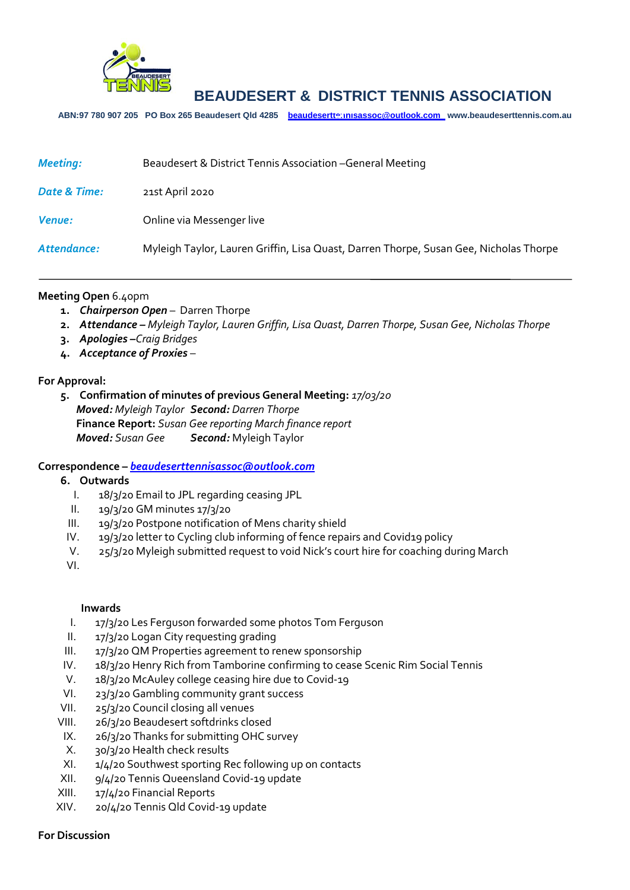

# **BEAUDESERT & DISTRICT TENNIS ASSOCIATION**

**ABN:97 780 907 205 PO Box 265 Beaudesert Qld 4285 [beaudeserttennisassoc@outlook.com](mailto:beaudeserttennisassoc@outlook.com) www.beaudeserttennis.com.au** *Agenda*

| <b>Meeting:</b> | Beaudesert & District Tennis Association - General Meeting                            |
|-----------------|---------------------------------------------------------------------------------------|
| Date & Time:    | 21st April 2020                                                                       |
| <b>Venue:</b>   | Online via Messenger live                                                             |
| Attendance:     | Myleigh Taylor, Lauren Griffin, Lisa Quast, Darren Thorpe, Susan Gee, Nicholas Thorpe |

#### **Meeting Open** 6.40pm

- **1.** *Chairperson Open* Darren Thorpe
- **2.** *Attendance – Myleigh Taylor, Lauren Griffin, Lisa Quast, Darren Thorpe, Susan Gee, Nicholas Thorpe*
- **3.** *Apologies –Craig Bridges*
- **4.** *Acceptance of Proxies* –

## **For Approval:**

**5. Confirmation of minutes of previous General Meeting:** *17/03/20 Moved: Myleigh Taylor Second: Darren Thorpe* **Finance Report:** *Susan Gee reporting March finance report Moved: Susan Gee Second:* Myleigh Taylor

## **Correspondence –** *[beaudeserttennisassoc@outlook.com](mailto:beaudeserttennisassoc@outlook.com)*

#### **6. Outwards**

- I. 18/3/20 Email to JPL regarding ceasing JPL
- II. 19/3/20 GM minutes 17/3/20
- III. 19/3/20 Postpone notification of Mens charity shield
- IV. 19/3/20 letter to Cycling club informing of fence repairs and Covid19 policy
- V. 25/3/20 Myleigh submitted request to void Nick's court hire for coaching during March

VI.

#### **Inwards**

- I. 17/3/20 Les Ferguson forwarded some photos Tom Ferguson
- II. 17/3/20 Logan City requesting grading
- III. 17/3/20 QM Properties agreement to renew sponsorship
- IV. 18/3/20 Henry Rich from Tamborine confirming to cease Scenic Rim Social Tennis
- V. 18/3/20 McAuley college ceasing hire due to Covid-19
- VI. 23/3/20 Gambling community grant success
- VII. 25/3/20 Council closing all venues
- VIII. 26/3/20 Beaudesert softdrinks closed
- IX. 26/3/20 Thanks for submitting OHC survey
- X. 30/3/20 Health check results
- XI. 1/4/20 Southwest sporting Rec following up on contacts
- XII. 9/4/20 Tennis Queensland Covid-19 update
- XIII. 17/4/20 Financial Reports
- XIV. 20/4/20 Tennis Qld Covid-19 update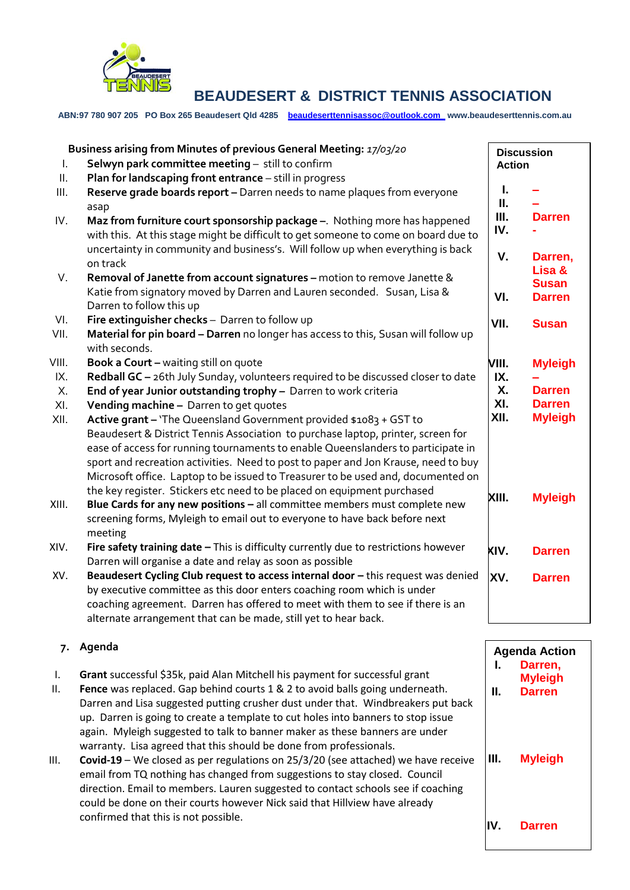

## **BEAUDESERT & DISTRICT TENNIS ASSOCIATION**

**ABN:97 780 907 205 PO Box 265 Beaudesert Qld 4285 [beaudeserttennisassoc@outlook.com](mailto:beaudeserttennisassoc@outlook.com) www.beaudeserttennis.com.au**

| Τ.    | Business arising from Minutes of previous General Meeting: 17/03/20<br>Selwyn park committee meeting - still to confirm                                              |           | <b>Discussion</b><br><b>Action</b> |
|-------|----------------------------------------------------------------------------------------------------------------------------------------------------------------------|-----------|------------------------------------|
| Ш.    | Plan for landscaping front entrance - still in progress                                                                                                              |           |                                    |
| Ш.    | Reserve grade boards report - Darren needs to name plaques from everyone<br>asap                                                                                     | L<br>Ш.   |                                    |
| IV.   | Maz from furniture court sponsorship package -. Nothing more has happened<br>with this. At this stage might be difficult to get someone to come on board due to      | Ш.<br>IV. | <b>Darren</b>                      |
|       | uncertainty in community and business's. Will follow up when everything is back<br>on track                                                                          | V.        | Darren,                            |
| V.    | Removal of Janette from account signatures - motion to remove Janette &<br>Katie from signatory moved by Darren and Lauren seconded. Susan, Lisa &                   |           | Lisa &<br><b>Susan</b>             |
|       | Darren to follow this up                                                                                                                                             | VI.       | <b>Darren</b>                      |
| VI.   | Fire extinguisher checks - Darren to follow up                                                                                                                       | VII.      | <b>Susan</b>                       |
| VII.  | Material for pin board - Darren no longer has access to this, Susan will follow up<br>with seconds.                                                                  |           |                                    |
| VIII. | <b>Book a Court - waiting still on quote</b>                                                                                                                         | VIII.     | <b>Myleigh</b>                     |
| IX.   | Redball GC - 26th July Sunday, volunteers required to be discussed closer to date                                                                                    | IX.       |                                    |
| Χ.    | End of year Junior outstanding trophy - Darren to work criteria                                                                                                      | <b>X.</b> | <b>Darren</b>                      |
| XI.   | Vending machine - Darren to get quotes                                                                                                                               | XI.       | <b>Darren</b>                      |
| XII.  | Active grant - 'The Queensland Government provided \$1083 + GST to                                                                                                   | XII.      | <b>Myleigh</b>                     |
|       | Beaudesert & District Tennis Association to purchase laptop, printer, screen for<br>ease of access for running tournaments to enable Queenslanders to participate in |           |                                    |
|       | sport and recreation activities. Need to post to paper and Jon Krause, need to buy                                                                                   |           |                                    |
|       | Microsoft office. Laptop to be issued to Treasurer to be used and, documented on                                                                                     |           |                                    |
|       | the key register. Stickers etc need to be placed on equipment purchased                                                                                              | XIII.     | <b>Myleigh</b>                     |
| XIII. | Blue Cards for any new positions - all committee members must complete new                                                                                           |           |                                    |
|       | screening forms, Myleigh to email out to everyone to have back before next                                                                                           |           |                                    |
|       | meeting                                                                                                                                                              |           |                                    |
| XIV.  | Fire safety training date - This is difficulty currently due to restrictions however<br>Darren will organise a date and relay as soon as possible                    | KIV.      | <b>Darren</b>                      |
| XV.   | Beaudesert Cycling Club request to access internal door - this request was denied                                                                                    |           | <b>Darren</b>                      |
|       | by executive committee as this door enters coaching room which is under                                                                                              | XV.       |                                    |
|       | coaching agreement. Darren has offered to meet with them to see if there is an                                                                                       |           |                                    |
|       | alternate arrangement that can be made, still yet to hear back.                                                                                                      |           |                                    |

## **7. Agenda**

- I. **Grant** successful \$35k, paid Alan Mitchell his payment for successful grant
- II. **Fence** was replaced. Gap behind courts 1 & 2 to avoid balls going underneath. Darren and Lisa suggested putting crusher dust under that. Windbreakers put back up. Darren is going to create a template to cut holes into banners to stop issue again. Myleigh suggested to talk to banner maker as these banners are under warranty. Lisa agreed that this should be done from professionals.
- III. **Covid-19** We closed as per regulations on 25/3/20 (see attached) we have receive email from TQ nothing has changed from suggestions to stay closed. Council direction. Email to members. Lauren suggested to contact schools see if coaching could be done on their courts however Nick said that Hillview have already confirmed that this is not possible.

**Agenda Action I. Darren, Myleigh II. Darren III. Myleigh IV. Darren**